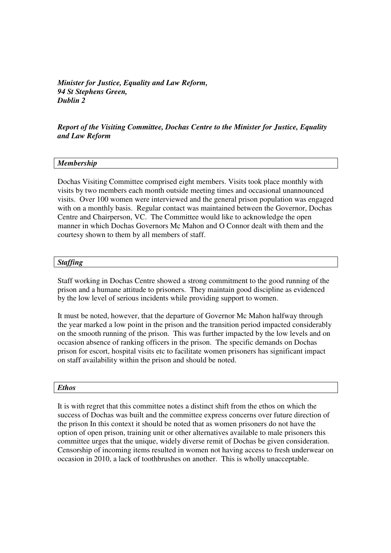*Minister for Justice, Equality and Law Reform, 94 St Stephens Green, Dublin 2* 

*Report of the Visiting Committee, Dochas Centre to the Minister for Justice, Equality and Law Reform* 

### *Membership*

Dochas Visiting Committee comprised eight members. Visits took place monthly with visits by two members each month outside meeting times and occasional unannounced visits. Over 100 women were interviewed and the general prison population was engaged with on a monthly basis. Regular contact was maintained between the Governor, Dochas Centre and Chairperson, VC. The Committee would like to acknowledge the open manner in which Dochas Governors Mc Mahon and O Connor dealt with them and the courtesy shown to them by all members of staff.

### *Staffing*

Staff working in Dochas Centre showed a strong commitment to the good running of the prison and a humane attitude to prisoners. They maintain good discipline as evidenced by the low level of serious incidents while providing support to women.

It must be noted, however, that the departure of Governor Mc Mahon halfway through the year marked a low point in the prison and the transition period impacted considerably on the smooth running of the prison. This was further impacted by the low levels and on occasion absence of ranking officers in the prison. The specific demands on Dochas prison for escort, hospital visits etc to facilitate women prisoners has significant impact on staff availability within the prison and should be noted.

#### *Ethos*

It is with regret that this committee notes a distinct shift from the ethos on which the success of Dochas was built and the committee express concerns over future direction of the prison In this context it should be noted that as women prisoners do not have the option of open prison, training unit or other alternatives available to male prisoners this committee urges that the unique, widely diverse remit of Dochas be given consideration. Censorship of incoming items resulted in women not having access to fresh underwear on occasion in 2010, a lack of toothbrushes on another. This is wholly unacceptable.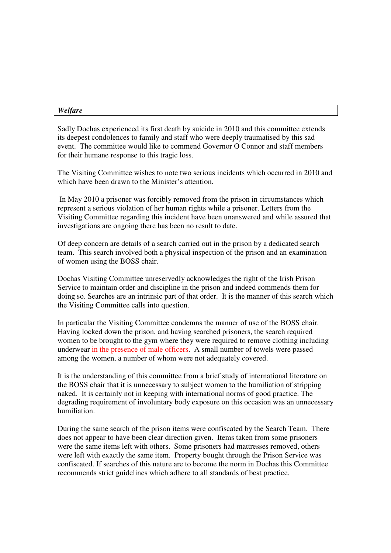# *Welfare*

Sadly Dochas experienced its first death by suicide in 2010 and this committee extends its deepest condolences to family and staff who were deeply traumatised by this sad event. The committee would like to commend Governor O Connor and staff members for their humane response to this tragic loss.

The Visiting Committee wishes to note two serious incidents which occurred in 2010 and which have been drawn to the Minister's attention.

 In May 2010 a prisoner was forcibly removed from the prison in circumstances which represent a serious violation of her human rights while a prisoner. Letters from the Visiting Committee regarding this incident have been unanswered and while assured that investigations are ongoing there has been no result to date.

Of deep concern are details of a search carried out in the prison by a dedicated search team. This search involved both a physical inspection of the prison and an examination of women using the BOSS chair.

Dochas Visiting Committee unreservedly acknowledges the right of the Irish Prison Service to maintain order and discipline in the prison and indeed commends them for doing so. Searches are an intrinsic part of that order. It is the manner of this search which the Visiting Committee calls into question.

In particular the Visiting Committee condemns the manner of use of the BOSS chair. Having locked down the prison, and having searched prisoners, the search required women to be brought to the gym where they were required to remove clothing including underwear in the presence of male officers. A small number of towels were passed among the women, a number of whom were not adequately covered.

It is the understanding of this committee from a brief study of international literature on the BOSS chair that it is unnecessary to subject women to the humiliation of stripping naked. It is certainly not in keeping with international norms of good practice. The degrading requirement of involuntary body exposure on this occasion was an unnecessary humiliation.

During the same search of the prison items were confiscated by the Search Team. There does not appear to have been clear direction given. Items taken from some prisoners were the same items left with others. Some prisoners had mattresses removed, others were left with exactly the same item. Property bought through the Prison Service was confiscated. If searches of this nature are to become the norm in Dochas this Committee recommends strict guidelines which adhere to all standards of best practice.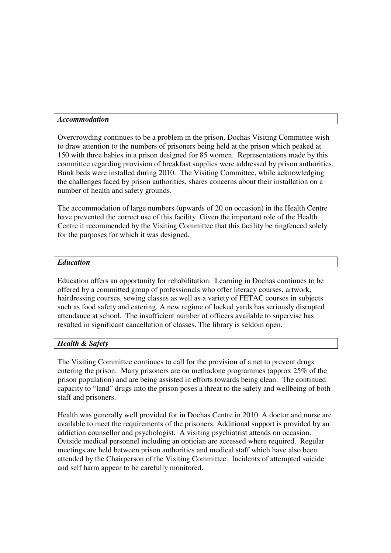## *Accommodation*

Overcrowding continues to be a problem in the prison. Dochas Visiting Committee wish to draw attention to the numbers of prisoners being held at the prison which peaked at 150 with three babies in a prison designed for 85 women. Representations made by this committee regarding provision of breakfast supplies were addressed by prison authorities. Bunk beds were installed during 2010. The Visiting Committee, while acknowledging the challenges faced by prison authorities, shares concerns about their installation on a number of health and safety grounds.

The accommodation of large numbers (upwards of 20 on occasion) in the Health Centre have prevented the correct use of this facility. Given the important role of the Health Centre it recommended by the Visiting Committee that this facility be ringfenced solely for the purposes for which it was designed.

## *Education*

Education offers an opportunity for rehabilitation. Learning in Dochas continues to be offered by a committed group of professionals who offer literacy courses, artwork, hairdressing courses, sewing classes as well as a variety of FETAC courses in subjects such as food safety and catering. A new regime of locked yards has seriously disrupted attendance at school. The insufficient number of officers available to supervise has resulted in significant cancellation of classes. The library is seldom open.

# *Health & Safety*

The Visiting Committee continues to call for the provision of a net to prevent drugs entering the prison. Many prisoners are on methadone programmes (approx 25% of the prison population) and are being assisted in efforts towards being clean. The continued capacity to "land" drugs into the prison poses a threat to the safety and wellbeing of both staff and prisoners.

Health was generally well provided for in Dochas Centre in 2010. A doctor and nurse are available to meet the requirements of the prisoners. Additional support is provided by an addiction counsellor and psychologist. A visiting psychiatrist attends on occasion. Outside medical personnel including an optician are accessed where required. Regular meetings are held between prison authorities and medical staff which have also been attended by the Chairperson of the Visiting Committee. Incidents of attempted suicide and self harm appear to be carefully monitored.